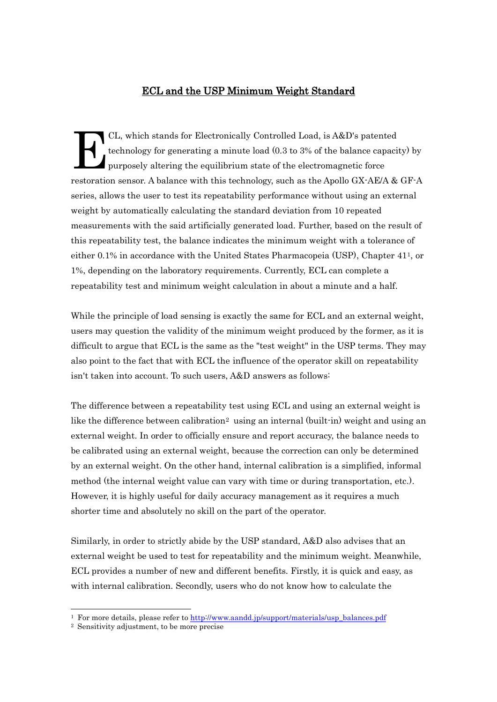## ECL and the USP Minimum Weight Standard

CL, which stands for Electronically Controlled Load, is A&D's patented technology for generating a minute load (0.3 to 3% of the balance capacity) by purposely altering the equilibrium state of the electromagnetic force restoration sensor. A balance with this technology, such as the Apollo GX-AE/A & GF-A series, allows the user to test its repeatability performance without using an external weight by automatically calculating the standard deviation from 10 repeated measurements with the said artificially generated load. Further, based on the result of this repeatability test, the balance indicates the minimum weight with a tolerance of either 0.1% in accordance with the United States Pharmacopeia (USP), Chapter 411, or 1%, depending on the laboratory requirements. Currently, ECL can complete a repeatability test and minimum weight calculation in about a minute and a half. E

While the principle of load sensing is exactly the same for ECL and an external weight, users may question the validity of the minimum weight produced by the former, as it is difficult to argue that ECL is the same as the "test weight" in the USP terms. They may also point to the fact that with ECL the influence of the operator skill on repeatability isn't taken into account. To such users, A&D answers as follows:

The difference between a repeatability test using ECL and using an external weight is like the difference between calibration<sup>2</sup> using an internal (built-in) weight and using an external weight. In order to officially ensure and report accuracy, the balance needs to be calibrated using an external weight, because the correction can only be determined by an external weight. On the other hand, internal calibration is a simplified, informal method (the internal weight value can vary with time or during transportation, etc.). However, it is highly useful for daily accuracy management as it requires a much shorter time and absolutely no skill on the part of the operator.

Similarly, in order to strictly abide by the USP standard, A&D also advises that an external weight be used to test for repeatability and the minimum weight. Meanwhile, ECL provides a number of new and different benefits. Firstly, it is quick and easy, as with internal calibration. Secondly, users who do not know how to calculate the

<sup>&</sup>lt;sup>1</sup> For more details, please refer to [http://www.aandd.jp/support/materials/usp\\_balances.pdf](http://www.aandd.jp/support/materials/usp_balances.pdf)

<sup>2</sup> Sensitivity adjustment, to be more precise